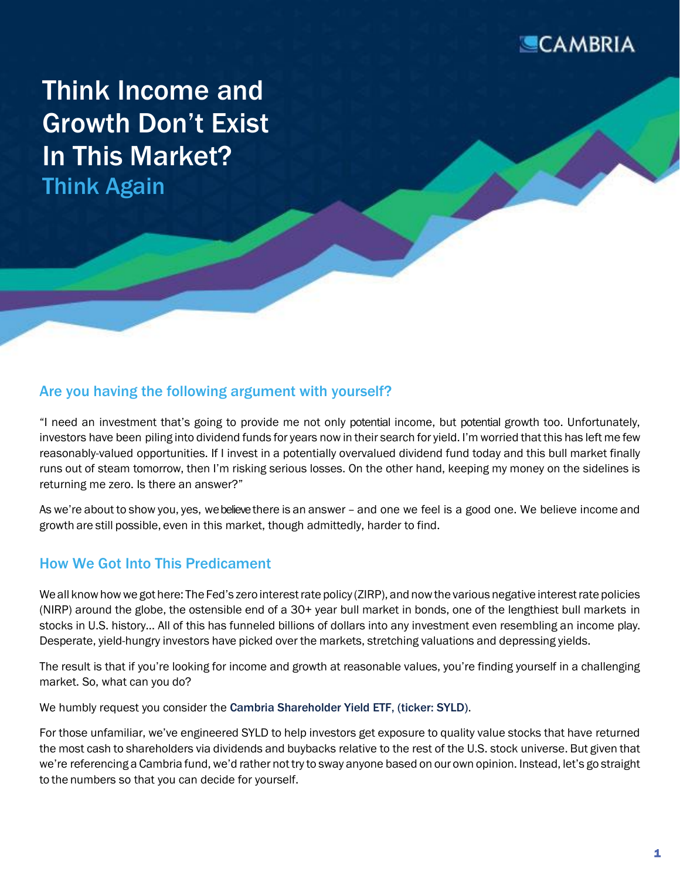

Think Income and Growth Don't Exist In This Market? Think Again

### Are you having the following argument with yourself?

"I need an investment that's going to provide me not only potential income, but potential growth too. Unfortunately, investors have been piling into dividend funds for years now in their search for yield. I'm worried that this has left me few reasonably-valued opportunities. If I invest in a potentially overvalued dividend fund today and this bull market finally runs out of steam tomorrow, then I'm risking serious losses. On the other hand, keeping my money on the sidelines is returning me zero. Is there an answer?"

As we're about to show you, yes, we believethere is an answer – and one we feel is a good one. We believe income and growth are still possible, even in this market, though admittedly, harder to find.

#### How We Got Into This Predicament

We all know how we got here: The Fed's zero interest rate policy (ZIRP), and now the various negative interest rate policies (NIRP) around the globe, the ostensible end of a 30+ year bull market in bonds, one of the lengthiest bull markets in stocks in U.S. history… All of this has funneled billions of dollars into any investment even resembling an income play. Desperate, yield-hungry investors have picked over the markets, stretching valuations and depressing yields.

The result is that if you're looking for income and growth at reasonable values, you're finding yourself in a challenging market. So, what can you do?

We humbly request you consider the [Cambria Shareholder Yield ETF, \(ticker: SYLD\)](https://cambriafunds.com/syld).

For those unfamiliar, we've engineered SYLD to help investors get exposure to quality value stocks that have returned the most cash to shareholders via dividends and buybacks relative to the rest of the U.S. stock universe. But given that we're referencing a Cambria fund, we'd rather not try to sway anyone based on our own opinion. Instead, let's go straight to the numbers so that you can decide for yourself.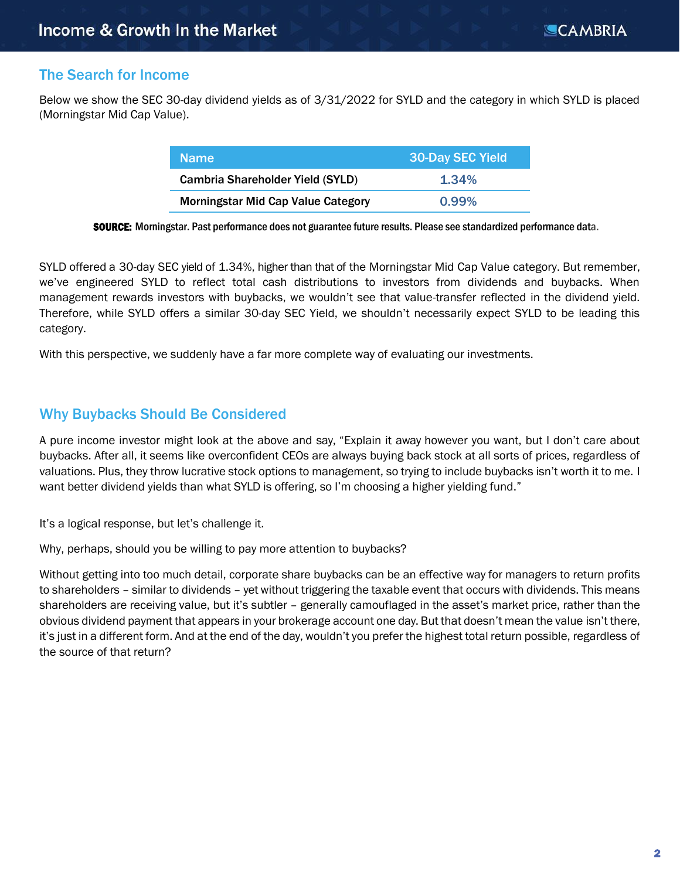# The Search for Income

Below we show the SEC 30-day dividend yields as of 3/31/2022 for SYLD and the category in which SYLD is placed (Morningstar Mid Cap Value).

| <b>Name</b>                               | 30-Day SEC Yield |  |
|-------------------------------------------|------------------|--|
| <b>Cambria Shareholder Yield (SYLD)</b>   | 1.34%            |  |
| <b>Morningstar Mid Cap Value Category</b> | $0.99\%$         |  |

SOURCE: Morningstar. Past performance does not guarantee future results. Please see standardized performance data.

SYLD offered a 30-day SEC yield of 1.34%, higher than that of the Morningstar Mid Cap Value category. But remember, we've engineered SYLD to reflect total cash distributions to investors from dividends and buybacks. When management rewards investors with buybacks, we wouldn't see that value-transfer reflected in the dividend yield. Therefore, while SYLD offers a similar 30-day SEC Yield, we shouldn't necessarily expect SYLD to be leading this category.

With this perspective, we suddenly have a far more complete way of evaluating our investments.

# Why Buybacks Should Be Considered

A pure income investor might look at the above and say, "Explain it away however you want, but I don't care about buybacks. After all, it seems like overconfident CEOs are always buying back stock at all sorts of prices, regardless of valuations. Plus, they throw lucrative stock options to management, so trying to include buybacks isn't worth it to me. I want better dividend yields than what SYLD is offering, so I'm choosing a higher yielding fund."

It's a logical response, but let's challenge it.

Why, perhaps, should you be willing to pay more attention to buybacks?

Without getting into too much detail, corporate share buybacks can be an effective way for managers to return profits to shareholders – similar to dividends – yet without triggering the taxable event that occurs with dividends. This means shareholders are receiving value, but it's subtler – generally camouflaged in the asset's market price, rather than the obvious dividend payment that appears in your brokerage account one day. But that doesn't mean the value isn't there, it's just in a different form. And at the end of the day, wouldn't you prefer the highest total return possible, regardless of the source of that return?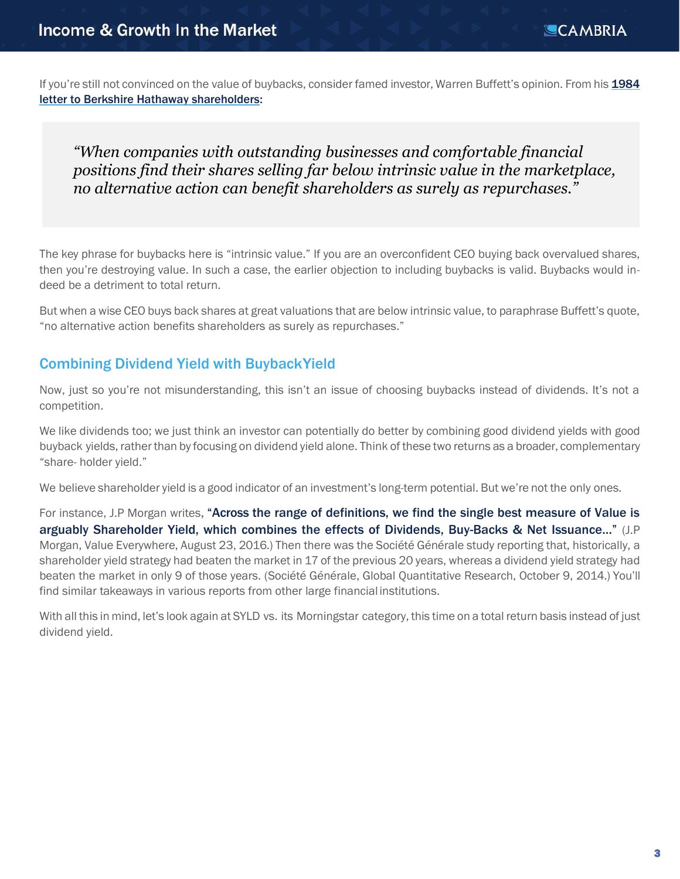If you're still not convinced on the value of buybacks, consider famed investor, Warren Buffett's opinion. From his [1984](http://www.berkshirehathaway.com/letters/1984.html) [letter to Berkshire Hathaway](http://www.berkshirehathaway.com/letters/1984.html) shareholders:

*"When companies with outstanding businesses and comfortable financial positions find their shares selling far below intrinsic value in the marketplace, no alternative action can benefit shareholders as surely as repurchases."*

The key phrase for buybacks here is "intrinsic value." If you are an overconfident CEO buying back overvalued shares, then you're destroying value. In such a case, the earlier objection to including buybacks is valid. Buybacks would indeed be a detriment to total return.

But when a wise CEO buys back shares at great valuations that are below intrinsic value, to paraphrase Buffett's quote, "no alternative action benefits shareholders as surely as repurchases."

### Combining Dividend Yield with BuybackYield

Now, just so you're not misunderstanding, this isn't an issue of choosing buybacks instead of dividends. It's not a competition.

We like dividends too; we just think an investor can potentially do better by combining good dividend yields with good buyback yields, rather than by focusing on dividend yield alone. Think of these two returns as a broader, complementary "share- holder yield."

We believe shareholder yield is a good indicator of an investment's long-term potential. But we're not the only ones.

For instance, J.P Morgan writes, "Across the range of definitions, we find the single best measure of Value is arguably Shareholder Yield, which combines the effects of Dividends, Buy-Backs & Net Issuance…" (J.P Morgan, Value Everywhere, August 23, 2016.) Then there was the Société Générale study reporting that, historically, a shareholder yield strategy had beaten the market in 17 of the previous 20 years, whereas a dividend yield strategy had beaten the market in only 9 of those years. (Société Générale, Global Quantitative Research, October 9, 2014.) You'll find similar takeaways in various reports from other large financial institutions.

With all this in mind, let's look again at SYLD vs. its Morningstar category, this time on a total return basis instead of just dividend yield.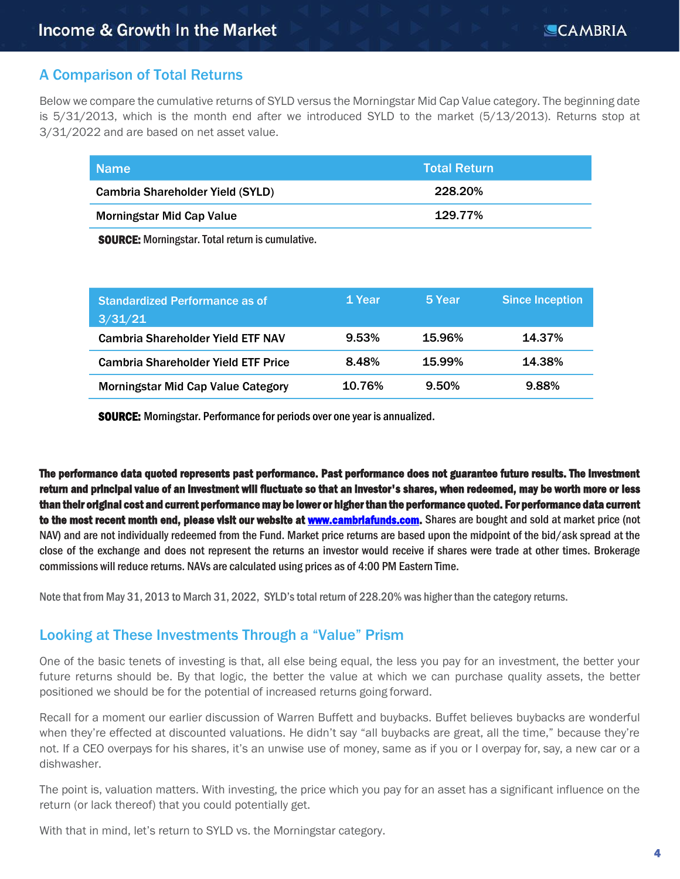# A Comparison of Total Returns

Below we compare the cumulative returns of SYLD versus the Morningstar Mid Cap Value category. The beginning date is 5/31/2013, which is the month end after we introduced SYLD to the market (5/13/2013). Returns stop at 3/31/2022 and are based on net asset value.

| <b>Name</b>                             | <b>Total Return</b> |
|-----------------------------------------|---------------------|
| <b>Cambria Shareholder Yield (SYLD)</b> | 228.20%             |
| <b>Morningstar Mid Cap Value</b>        | 129.77%             |

SOURCE: Morningstar. Total return is cumulative.

| <b>Standardized Performance as of</b><br>3/31/21 | 1 Year | 5 Year | <b>Since Inception</b> |
|--------------------------------------------------|--------|--------|------------------------|
| <b>Cambria Shareholder Yield ETF NAV</b>         | 9.53%  | 15.96% | 14.37%                 |
| <b>Cambria Shareholder Yield ETF Price</b>       | 8.48%  | 15.99% | 14.38%                 |
| <b>Morningstar Mid Cap Value Category</b>        | 10.76% | 9.50%  | 9.88%                  |

SOURCE: Morningstar. Performance for periods over one year is annualized.

The performance data quoted represents past performance. Past performance does not guarantee future results. The investment return and principal value of an investment will fluctuate so that an investor's shares, when redeemed, may be worth more or less than their original cost and current performance may be lower or higher than the performance quoted. For performance data current to the most recent month end, please visit our website at [www.cambriafunds.com.](http://www.cambriafunds.com/) Shares are bought and sold at market price (not NAV) and are not individually redeemed from the Fund. Market price returns are based upon the midpoint of the bid/ask spread at the close of the exchange and does not represent the returns an investor would receive if shares were trade at other times. Brokerage commissions will reduce returns. NAVs are calculated using prices as of 4:00 PM Eastern Time.

Note that from May 31, 2013 to March 31, 2022, SYLD's total return of 228.20% was higher than the category returns.

## Looking at These Investments Through a "Value" Prism

One of the basic tenets of investing is that, all else being equal, the less you pay for an investment, the better your future returns should be. By that logic, the better the value at which we can purchase quality assets, the better positioned we should be for the potential of increased returns going forward.

Recall for a moment our earlier discussion of Warren Buffett and buybacks. Buffet believes buybacks are wonderful when they're effected at discounted valuations. He didn't say "all buybacks are great, all the time," because they're not. If a CEO overpays for his shares, it's an unwise use of money, same as if you or I overpay for, say, a new car or a dishwasher.

The point is, valuation matters. With investing, the price which you pay for an asset has a significant influence on the return (or lack thereof) that you could potentially get.

With that in mind, let's return to SYLD vs. the Morningstar category.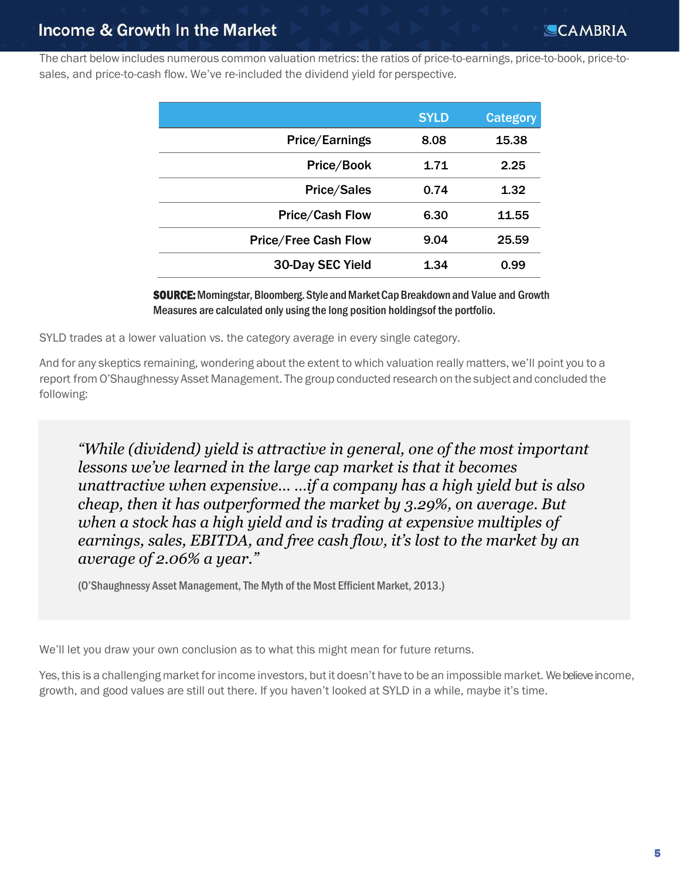The chart below includes numerous common valuation metrics: the ratios of price-to-earnings, price-to-book, price-tosales, and price-to-cash flow. We've re-included the dividend yield for perspective.

|                             | <b>SYLD</b> | <b>Category</b> |
|-----------------------------|-------------|-----------------|
| <b>Price/Earnings</b>       | 8.08        | 15.38           |
| Price/Book                  | 1.71        | 2.25            |
| <b>Price/Sales</b>          | 0.74        | 1.32            |
| <b>Price/Cash Flow</b>      | 6.30        | 11.55           |
| <b>Price/Free Cash Flow</b> | 9.04        | 25.59           |
| 30-Day SEC Yield            | 1.34        | 0.99            |

**SOURCE:** Morningstar, Bloomberg. Style and Market Cap Breakdown and Value and Growth Measures are calculated only using the long position holdingsof the portfolio.

SYLD trades at a lower valuation vs. the category average in every single category.

And for any skeptics remaining, wondering about the extent to which valuation really matters, we'll point you to a report from O'Shaughnessy Asset Management. The group conducted research on the subject and concluded the following:

*"While (dividend) yield is attractive in general, one of the most important lessons we've learned in the large cap market is that it becomes unattractive when expensive... ...if a company has a high yield but is also cheap, then it has outperformed the market by 3.29%, on average. But when a stock has a high yield and is trading at expensive multiples of earnings, sales, EBITDA, and free cash flow, it's lost to the market by an average of 2.06% a year."*

(O'Shaughnessy Asset Management, The Myth of the Most Efficient Market, 2013.)

We'll let you draw your own conclusion as to what this might mean for future returns.

Yes, this is a challenging market for income investors, but it doesn't have to be an impossible market. We believe income, growth, and good values are still out there. If you haven't looked at SYLD in a while, maybe it's time.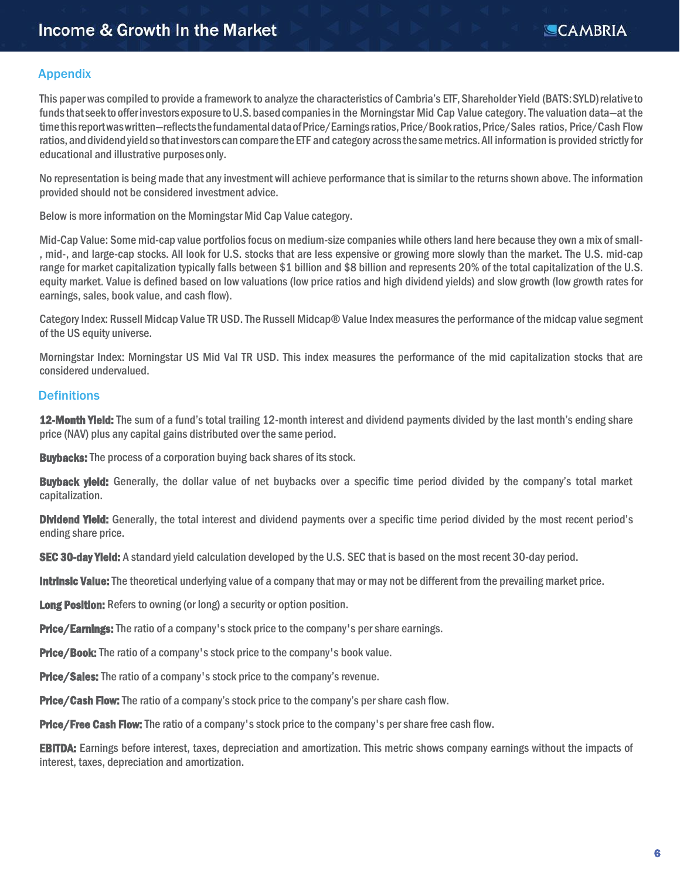#### Appendix

This paper was compiled to provide a framework to analyze the characteristics of Cambria's ETF, Shareholder Yield (BATS:SYLD)relativeto funds that seek to offer investors exposure to U.S. based companies in the Morningstar Mid Cap Value category. The valuation data—at the time this report was written—reflects the fundamental data of Price/Earnings ratios, Price/Book ratios, Price/Sales ratios, Price/Cash Flow ratios, and dividend yield so that investors can compare the ETF and category across the same metrics. All information is provided strictly for educational and illustrative purposesonly.

No representation is being made that any investment will achieve performance that is similar to the returns shown above. The information provided should not be considered investment advice.

Below is more information on the Morningstar Mid Cap Value category.

Mid-Cap Value: Some mid-cap value portfolios focus on medium-size companies while others land here because they own a mix of small- , mid-, and large-cap stocks. All look for U.S. stocks that are less expensive or growing more slowly than the market. The U.S. mid-cap range for market capitalization typically falls between \$1 billion and \$8 billion and represents 20% of the total capitalization of the U.S. equity market. Value is defined based on low valuations (low price ratios and high dividend yields) and slow growth (low growth rates for earnings, sales, book value, and cash flow).

Category Index: Russell Midcap Value TR USD. The Russell Midcap® Value Index measures the performance of the midcap value segment of the US equity universe.

Morningstar Index: Morningstar US Mid Val TR USD. This index measures the performance of the mid capitalization stocks that are considered undervalued.

#### **Definitions**

12-Month Yield: The sum of a fund's total trailing 12-month interest and dividend payments divided by the last month's ending share price (NAV) plus any capital gains distributed over the same period.

**Buybacks:** The process of a corporation buying back shares of its stock.

**Buyback yield:** Generally, the dollar value of net buybacks over a specific time period divided by the company's total market capitalization.

**Dividend Yield:** Generally, the total interest and dividend payments over a specific time period divided by the most recent period's ending share price.

SEC 30-day Yield: A standard yield calculation developed by the U.S. SEC that is based on the most recent 30-day period.

Intrinsic Value: The theoretical underlying value of a company that may or may not be different from the prevailing market price.

Long Position: Refers to owning (or long) a security or option position.

**Price/Earnings:** The ratio of a company's stock price to the company's per share earnings.

**Price/Book:** The ratio of a company's stock price to the company's book value.

**Price/Sales:** The ratio of a company's stock price to the company's revenue.

**Price/Cash Flow:** The ratio of a company's stock price to the company's per share cash flow.

**Price/Free Cash Flow:** The ratio of a company's stock price to the company's per share free cash flow.

**EBITDA:** Earnings before interest, taxes, depreciation and amortization. This metric shows company earnings without the impacts of interest, taxes, depreciation and amortization.